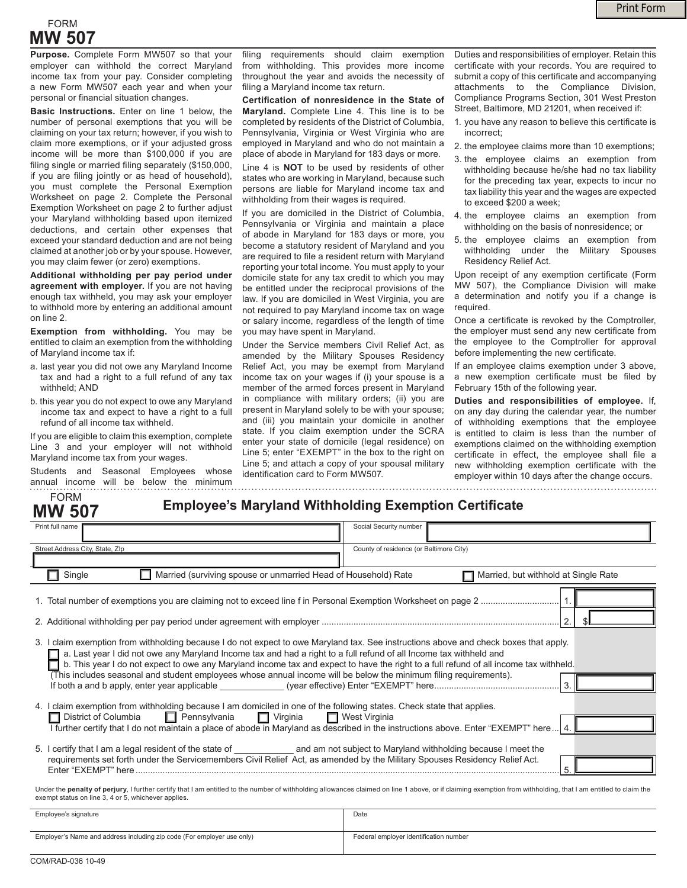## FORM **MW 507**

**Purpose.** Complete Form MW507 so that your employer can withhold the correct Maryland income tax from your pay. Consider completing a new Form MW507 each year and when your personal or financial situation changes.

**Basic Instructions.** Enter on line 1 below, the number of personal exemptions that you will be claiming on your tax return; however, if you wish to claim more exemptions, or if your adjusted gross income will be more than \$100,000 if you are filing single or married filing separately (\$150,000, if you are filing jointly or as head of household), you must complete the Personal Exemption Worksheet on page 2. Complete the Personal Exemption Worksheet on page 2 to further adjust your Maryland withholding based upon itemized deductions, and certain other expenses that exceed your standard deduction and are not being claimed at another job or by your spouse. However, you may claim fewer (or zero) exemptions.

**Additional withholding per pay period under agreement with employer.** If you are not having enough tax withheld, you may ask your employer to withhold more by entering an additional amount on line 2.

**Exemption from withholding.** You may be entitled to claim an exemption from the withholding of Maryland income tax if:

- a. last year you did not owe any Maryland Income tax and had a right to a full refund of any tax withheld; AND
- b. this year you do not expect to owe any Maryland income tax and expect to have a right to a full refund of all income tax withheld.

If you are eligible to claim this exemption, complete Line 3 and your employer will not withhold Maryland income tax from your wages.

Students and Seasonal Employees whose annual income will be below the minimum

FORM **MW 507**

filing requirements should claim exemption from withholding. This provides more income throughout the year and avoids the necessity of filing a Maryland income tax return.

**Certification of nonresidence in the State of Maryland.** Complete Line 4. This line is to be completed by residents of the District of Columbia, Pennsylvania, Virginia or West Virginia who are employed in Maryland and who do not maintain a place of abode in Maryland for 183 days or more.

Line 4 is **NOT** to be used by residents of other states who are working in Maryland, because such persons are liable for Maryland income tax and withholding from their wages is required.

If you are domiciled in the District of Columbia, Pennsylvania or Virginia and maintain a place of abode in Maryland for 183 days or more, you become a statutory resident of Maryland and you are required to file a resident return with Maryland reporting your total income. You must apply to your domicile state for any tax credit to which you may be entitled under the reciprocal provisions of the law. If you are domiciled in West Virginia, you are not required to pay Maryland income tax on wage or salary income, regardless of the length of time you may have spent in Maryland.

Under the Service members Civil Relief Act, as amended by the Military Spouses Residency Relief Act, you may be exempt from Maryland income tax on your wages if (i) your spouse is a member of the armed forces present in Maryland in compliance with military orders; (ii) you are present in Maryland solely to be with your spouse; and (iii) you maintain your domicile in another state. If you claim exemption under the SCRA enter your state of domicile (legal residence) on Line 5; enter "EXEMPT" in the box to the right on Line 5; and attach a copy of your spousal military identification card to Form MW507.

Duties and responsibilities of employer. Retain this certificate with your records. You are required to submit a copy of this certificate and accompanying attachments to the Compliance Division, Compliance Programs Section, 301 West Preston Street, Baltimore, MD 21201, when received if:

- 1. you have any reason to believe this certificate is incorrect;
- 2. the employee claims more than 10 exemptions;
- 3. the employee claims an exemption from withholding because he/she had no tax liability for the preceding tax year, expects to incur no tax liability this year and the wages are expected to exceed \$200 a week;
- 4. the employee claims an exemption from withholding on the basis of nonresidence; or
- 5. the employee claims an exemption from withholding under the Military Spouses Residency Relief Act.

Upon receipt of any exemption certificate (Form MW 507), the Compliance Division will make a determination and notify you if a change is required.

Once a certificate is revoked by the Comptroller, the employer must send any new certificate from the employee to the Comptroller for approval before implementing the new certificate.

If an employee claims exemption under 3 above, a new exemption certificate must be filed by February 15th of the following year.

**Duties and responsibilities of employee.** If, on any day during the calendar year, the number of withholding exemptions that the employee is entitled to claim is less than the number of exemptions claimed on the withholding exemption certificate in effect, the employee shall file a new withholding exemption certificate with the employer within 10 days after the change occurs.

|  |  | <b>Employee's Maryland Withholding Exemption Certificate</b> |  |  |
|--|--|--------------------------------------------------------------|--|--|
|--|--|--------------------------------------------------------------|--|--|

| Print full name                                                                                                                                                                                                                                                                                                                                                                                                                                                                                                           | Social Security number                  |  |  |  |  |
|---------------------------------------------------------------------------------------------------------------------------------------------------------------------------------------------------------------------------------------------------------------------------------------------------------------------------------------------------------------------------------------------------------------------------------------------------------------------------------------------------------------------------|-----------------------------------------|--|--|--|--|
|                                                                                                                                                                                                                                                                                                                                                                                                                                                                                                                           |                                         |  |  |  |  |
| Street Address City, State, Zlp                                                                                                                                                                                                                                                                                                                                                                                                                                                                                           | County of residence (or Baltimore City) |  |  |  |  |
|                                                                                                                                                                                                                                                                                                                                                                                                                                                                                                                           |                                         |  |  |  |  |
| Married (surviving spouse or unmarried Head of Household) Rate<br>Single<br>Married, but withhold at Single Rate                                                                                                                                                                                                                                                                                                                                                                                                          |                                         |  |  |  |  |
|                                                                                                                                                                                                                                                                                                                                                                                                                                                                                                                           |                                         |  |  |  |  |
| $\overline{2}$ .                                                                                                                                                                                                                                                                                                                                                                                                                                                                                                          |                                         |  |  |  |  |
| 3. I claim exemption from withholding because I do not expect to owe Maryland tax. See instructions above and check boxes that apply.<br>a. Last year I did not owe any Maryland Income tax and had a right to a full refund of all Income tax withheld and<br>b. This year I do not expect to owe any Maryland income tax and expect to have the right to a full refund of all income tax withheld.<br>(This includes seasonal and student employees whose annual income will be below the minimum filing requirements). |                                         |  |  |  |  |
|                                                                                                                                                                                                                                                                                                                                                                                                                                                                                                                           |                                         |  |  |  |  |
| 4. I claim exemption from withholding because I am domiciled in one of the following states. Check state that applies.<br>□ District of Columbia □ Pennsylvania □ Virginia □ West Virginia                                                                                                                                                                                                                                                                                                                                |                                         |  |  |  |  |
| I further certify that I do not maintain a place of abode in Maryland as described in the instructions above. Enter "EXEMPT" here 4.                                                                                                                                                                                                                                                                                                                                                                                      |                                         |  |  |  |  |
| 5. I certify that I am a legal resident of the state of ______________ and am not subject to Maryland withholding because I meet the<br>requirements set forth under the Servicemembers Civil Relief Act, as amended by the Military Spouses Residency Relief Act.                                                                                                                                                                                                                                                        |                                         |  |  |  |  |
|                                                                                                                                                                                                                                                                                                                                                                                                                                                                                                                           |                                         |  |  |  |  |
| Under the penalty of perjury, I further certify that I am entitled to the number of withholding allowances claimed on line 1 above, or if claiming exemption from withholding, that I am entitled to claim the<br>exempt status on line 3, 4 or 5, whichever applies.                                                                                                                                                                                                                                                     |                                         |  |  |  |  |

| Employee's signature                                                   | Date                                   |
|------------------------------------------------------------------------|----------------------------------------|
| Employer's Name and address including zip code (For employer use only) | Federal employer identification number |